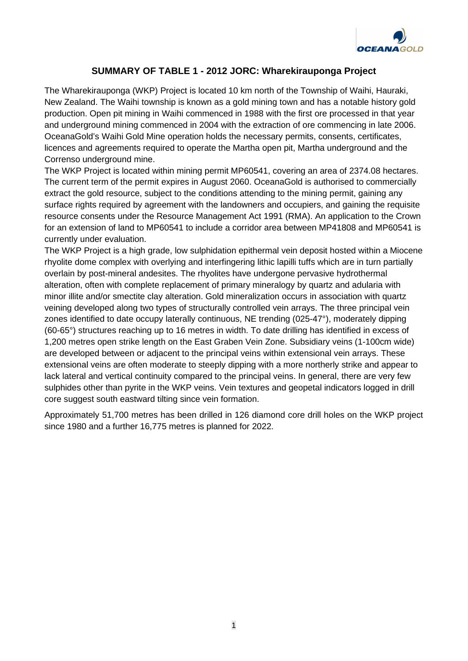

## **SUMMARY OF TABLE 1 - 2012 JORC: Wharekirauponga Project**

The Wharekirauponga (WKP) Project is located 10 km north of the Township of Waihi, Hauraki, New Zealand. The Waihi township is known as a gold mining town and has a notable history gold production. Open pit mining in Waihi commenced in 1988 with the first ore processed in that year and underground mining commenced in 2004 with the extraction of ore commencing in late 2006. OceanaGold's Waihi Gold Mine operation holds the necessary permits, consents, certificates, licences and agreements required to operate the Martha open pit, Martha underground and the Correnso underground mine.

The WKP Project is located within mining permit MP60541, covering an area of 2374.08 hectares. The current term of the permit expires in August 2060. OceanaGold is authorised to commercially extract the gold resource, subject to the conditions attending to the mining permit, gaining any surface rights required by agreement with the landowners and occupiers, and gaining the requisite resource consents under the Resource Management Act 1991 (RMA). An application to the Crown for an extension of land to MP60541 to include a corridor area between MP41808 and MP60541 is currently under evaluation.

The WKP Project is a high grade, low sulphidation epithermal vein deposit hosted within a Miocene rhyolite dome complex with overlying and interfingering lithic lapilli tuffs which are in turn partially overlain by post-mineral andesites. The rhyolites have undergone pervasive hydrothermal alteration, often with complete replacement of primary mineralogy by quartz and adularia with minor illite and/or smectite clay alteration. Gold mineralization occurs in association with quartz veining developed along two types of structurally controlled vein arrays. The three principal vein zones identified to date occupy laterally continuous, NE trending (025-47°), moderately dipping (60-65°) structures reaching up to 16 metres in width. To date drilling has identified in excess of 1,200 metres open strike length on the East Graben Vein Zone. Subsidiary veins (1-100cm wide) are developed between or adjacent to the principal veins within extensional vein arrays. These extensional veins are often moderate to steeply dipping with a more northerly strike and appear to lack lateral and vertical continuity compared to the principal veins. In general, there are very few sulphides other than pyrite in the WKP veins. Vein textures and geopetal indicators logged in drill core suggest south eastward tilting since vein formation.

Approximately 51,700 metres has been drilled in 126 diamond core drill holes on the WKP project since 1980 and a further 16,775 metres is planned for 2022.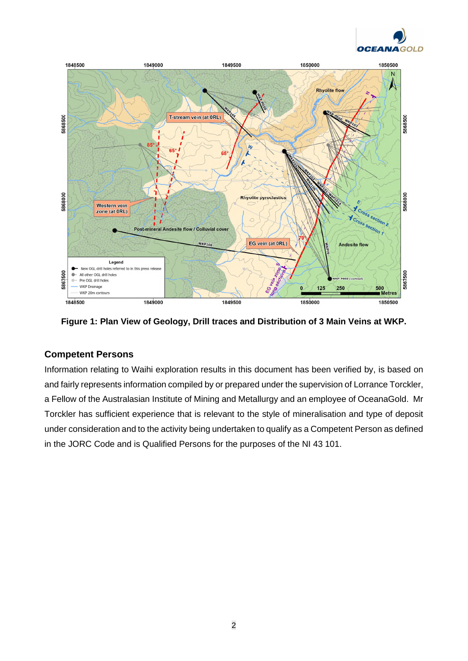



**Figure 1: Plan View of Geology, Drill traces and Distribution of 3 Main Veins at WKP.** 

## **Competent Persons**

Information relating to Waihi exploration results in this document has been verified by, is based on and fairly represents information compiled by or prepared under the supervision of Lorrance Torckler, a Fellow of the Australasian Institute of Mining and Metallurgy and an employee of OceanaGold. Mr Torckler has sufficient experience that is relevant to the style of mineralisation and type of deposit under consideration and to the activity being undertaken to qualify as a Competent Person as defined in the JORC Code and is Qualified Persons for the purposes of the NI 43 101.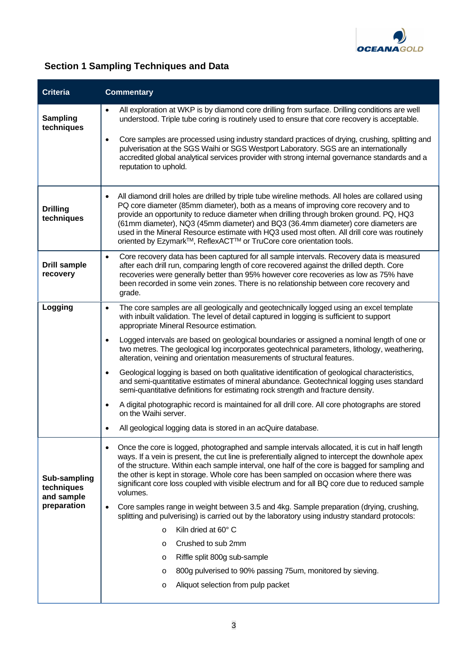

## **Section 1 Sampling Techniques and Data**

| <b>Criteria</b>                                         | <b>Commentary</b>                                                                                                                                                                                                                                                                                                                                                                                                                                                                                                                                           |
|---------------------------------------------------------|-------------------------------------------------------------------------------------------------------------------------------------------------------------------------------------------------------------------------------------------------------------------------------------------------------------------------------------------------------------------------------------------------------------------------------------------------------------------------------------------------------------------------------------------------------------|
| <b>Sampling</b><br>techniques                           | All exploration at WKP is by diamond core drilling from surface. Drilling conditions are well<br>understood. Triple tube coring is routinely used to ensure that core recovery is acceptable.                                                                                                                                                                                                                                                                                                                                                               |
|                                                         | Core samples are processed using industry standard practices of drying, crushing, splitting and<br>$\bullet$<br>pulverisation at the SGS Waihi or SGS Westport Laboratory. SGS are an internationally<br>accredited global analytical services provider with strong internal governance standards and a<br>reputation to uphold.                                                                                                                                                                                                                            |
| <b>Drilling</b><br>techniques                           | All diamond drill holes are drilled by triple tube wireline methods. All holes are collared using<br>$\bullet$<br>PQ core diameter (85mm diameter), both as a means of improving core recovery and to<br>provide an opportunity to reduce diameter when drilling through broken ground. PQ, HQ3<br>(61mm diameter), NQ3 (45mm diameter) and BQ3 (36.4mm diameter) core diameters are<br>used in the Mineral Resource estimate with HQ3 used most often. All drill core was routinely<br>oriented by Ezymark™, ReflexACT™ or TruCore core orientation tools. |
| <b>Drill sample</b><br>recovery                         | Core recovery data has been captured for all sample intervals. Recovery data is measured<br>$\bullet$<br>after each drill run, comparing length of core recovered against the drilled depth. Core<br>recoveries were generally better than 95% however core recoveries as low as 75% have<br>been recorded in some vein zones. There is no relationship between core recovery and<br>grade.                                                                                                                                                                 |
| Logging                                                 | The core samples are all geologically and geotechnically logged using an excel template<br>$\bullet$<br>with inbuilt validation. The level of detail captured in logging is sufficient to support<br>appropriate Mineral Resource estimation.                                                                                                                                                                                                                                                                                                               |
|                                                         | Logged intervals are based on geological boundaries or assigned a nominal length of one or<br>two metres. The geological log incorporates geotechnical parameters, lithology, weathering,<br>alteration, veining and orientation measurements of structural features.                                                                                                                                                                                                                                                                                       |
|                                                         | Geological logging is based on both qualitative identification of geological characteristics,<br>and semi-quantitative estimates of mineral abundance. Geotechnical logging uses standard<br>semi-quantitative definitions for estimating rock strength and fracture density.                                                                                                                                                                                                                                                                               |
|                                                         | A digital photographic record is maintained for all drill core. All core photographs are stored<br>on the Waihi server.                                                                                                                                                                                                                                                                                                                                                                                                                                     |
|                                                         | All geological logging data is stored in an acQuire database.                                                                                                                                                                                                                                                                                                                                                                                                                                                                                               |
| Sub-sampling<br>techniques<br>and sample<br>preparation | Once the core is logged, photographed and sample intervals allocated, it is cut in half length<br>$\bullet$<br>ways. If a vein is present, the cut line is preferentially aligned to intercept the downhole apex<br>of the structure. Within each sample interval, one half of the core is bagged for sampling and<br>the other is kept in storage. Whole core has been sampled on occasion where there was<br>significant core loss coupled with visible electrum and for all BQ core due to reduced sample<br>volumes.                                    |
|                                                         | Core samples range in weight between 3.5 and 4kg. Sample preparation (drying, crushing,<br>$\bullet$<br>splitting and pulverising) is carried out by the laboratory using industry standard protocols:                                                                                                                                                                                                                                                                                                                                                      |
|                                                         | Kiln dried at 60° C<br>$\circ$                                                                                                                                                                                                                                                                                                                                                                                                                                                                                                                              |
|                                                         | Crushed to sub 2mm<br>$\circ$                                                                                                                                                                                                                                                                                                                                                                                                                                                                                                                               |
|                                                         | Riffle split 800g sub-sample<br>O                                                                                                                                                                                                                                                                                                                                                                                                                                                                                                                           |
|                                                         | 800g pulverised to 90% passing 75um, monitored by sieving.<br>$\circ$                                                                                                                                                                                                                                                                                                                                                                                                                                                                                       |
|                                                         | Aliquot selection from pulp packet<br>$\circ$                                                                                                                                                                                                                                                                                                                                                                                                                                                                                                               |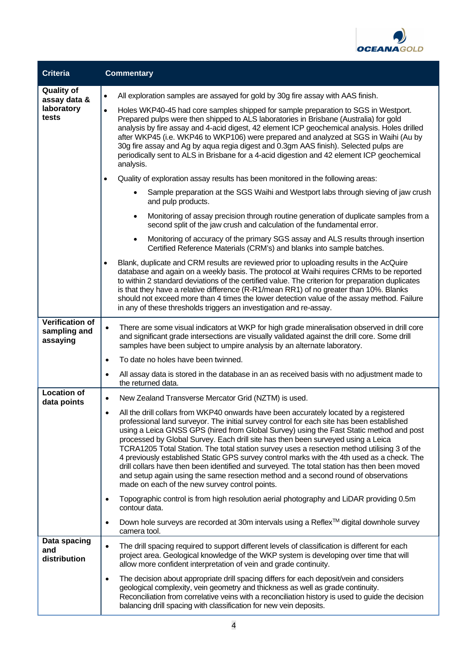

| <b>Criteria</b>                                    | <b>Commentary</b>                                                                                                                                                                                                                                                                                                                                                                                                                                                                                                                                                                                                                                                                                                                                                                                     |
|----------------------------------------------------|-------------------------------------------------------------------------------------------------------------------------------------------------------------------------------------------------------------------------------------------------------------------------------------------------------------------------------------------------------------------------------------------------------------------------------------------------------------------------------------------------------------------------------------------------------------------------------------------------------------------------------------------------------------------------------------------------------------------------------------------------------------------------------------------------------|
| <b>Quality of</b><br>assay data &                  | All exploration samples are assayed for gold by 30g fire assay with AAS finish.<br>$\bullet$                                                                                                                                                                                                                                                                                                                                                                                                                                                                                                                                                                                                                                                                                                          |
| laboratory<br>tests                                | Holes WKP40-45 had core samples shipped for sample preparation to SGS in Westport.<br>$\bullet$<br>Prepared pulps were then shipped to ALS laboratories in Brisbane (Australia) for gold<br>analysis by fire assay and 4-acid digest, 42 element ICP geochemical analysis. Holes drilled<br>after WKP45 (i.e. WKP46 to WKP106) were prepared and analyzed at SGS in Waihi (Au by<br>30g fire assay and Ag by aqua regia digest and 0.3gm AAS finish). Selected pulps are<br>periodically sent to ALS in Brisbane for a 4-acid digestion and 42 element ICP geochemical<br>analysis.                                                                                                                                                                                                                   |
|                                                    | Quality of exploration assay results has been monitored in the following areas:                                                                                                                                                                                                                                                                                                                                                                                                                                                                                                                                                                                                                                                                                                                       |
|                                                    | Sample preparation at the SGS Waihi and Westport labs through sieving of jaw crush<br>$\bullet$<br>and pulp products.                                                                                                                                                                                                                                                                                                                                                                                                                                                                                                                                                                                                                                                                                 |
|                                                    | Monitoring of assay precision through routine generation of duplicate samples from a<br>$\bullet$<br>second split of the jaw crush and calculation of the fundamental error.                                                                                                                                                                                                                                                                                                                                                                                                                                                                                                                                                                                                                          |
|                                                    | Monitoring of accuracy of the primary SGS assay and ALS results through insertion<br>$\bullet$<br>Certified Reference Materials (CRM's) and blanks into sample batches.                                                                                                                                                                                                                                                                                                                                                                                                                                                                                                                                                                                                                               |
|                                                    | Blank, duplicate and CRM results are reviewed prior to uploading results in the AcQuire<br>database and again on a weekly basis. The protocol at Waihi requires CRMs to be reported<br>to within 2 standard deviations of the certified value. The criterion for preparation duplicates<br>is that they have a relative difference (R-R1/mean RR1) of no greater than 10%. Blanks<br>should not exceed more than 4 times the lower detection value of the assay method. Failure<br>in any of these thresholds triggers an investigation and re-assay.                                                                                                                                                                                                                                                 |
| <b>Verification of</b><br>sampling and<br>assaying | There are some visual indicators at WKP for high grade mineralisation observed in drill core<br>٠<br>and significant grade intersections are visually validated against the drill core. Some drill<br>samples have been subject to umpire analysis by an alternate laboratory.                                                                                                                                                                                                                                                                                                                                                                                                                                                                                                                        |
|                                                    | To date no holes have been twinned.<br>$\bullet$                                                                                                                                                                                                                                                                                                                                                                                                                                                                                                                                                                                                                                                                                                                                                      |
|                                                    | All assay data is stored in the database in an as received basis with no adjustment made to<br>٠<br>the returned data.                                                                                                                                                                                                                                                                                                                                                                                                                                                                                                                                                                                                                                                                                |
| <b>Location of</b><br>data points                  | New Zealand Transverse Mercator Grid (NZTM) is used.<br>$\bullet$                                                                                                                                                                                                                                                                                                                                                                                                                                                                                                                                                                                                                                                                                                                                     |
|                                                    | All the drill collars from WKP40 onwards have been accurately located by a registered<br>professional land surveyor. The initial survey control for each site has been established<br>using a Leica GNSS GPS (hired from Global Survey) using the Fast Static method and post<br>processed by Global Survey. Each drill site has then been surveyed using a Leica<br>TCRA1205 Total Station. The total station survey uses a resection method utilising 3 of the<br>4 previously established Static GPS survey control marks with the 4th used as a check. The<br>drill collars have then been identified and surveyed. The total station has then been moved<br>and setup again using the same resection method and a second round of observations<br>made on each of the new survey control points. |
|                                                    | Topographic control is from high resolution aerial photography and LiDAR providing 0.5m<br>٠<br>contour data.                                                                                                                                                                                                                                                                                                                                                                                                                                                                                                                                                                                                                                                                                         |
|                                                    | Down hole surveys are recorded at 30m intervals using a Reflex™ digital downhole survey<br>camera tool.                                                                                                                                                                                                                                                                                                                                                                                                                                                                                                                                                                                                                                                                                               |
| Data spacing<br>and<br>distribution                | The drill spacing required to support different levels of classification is different for each<br>$\bullet$<br>project area. Geological knowledge of the WKP system is developing over time that will<br>allow more confident interpretation of vein and grade continuity.                                                                                                                                                                                                                                                                                                                                                                                                                                                                                                                            |
|                                                    | The decision about appropriate drill spacing differs for each deposit/vein and considers<br>$\bullet$<br>geological complexity, vein geometry and thickness as well as grade continuity.<br>Reconciliation from correlative veins with a reconciliation history is used to guide the decision<br>balancing drill spacing with classification for new vein deposits.                                                                                                                                                                                                                                                                                                                                                                                                                                   |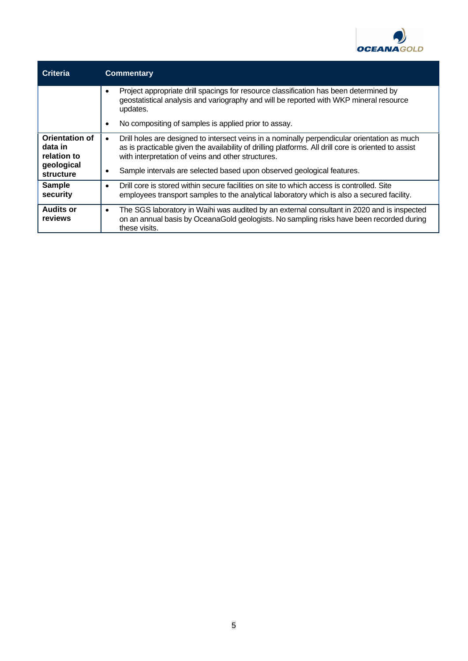

| <b>Criteria</b>                                                            | <b>Commentary</b>                                                                                                                                                                                                                                                                                                                                      |
|----------------------------------------------------------------------------|--------------------------------------------------------------------------------------------------------------------------------------------------------------------------------------------------------------------------------------------------------------------------------------------------------------------------------------------------------|
|                                                                            | Project appropriate drill spacings for resource classification has been determined by<br>$\bullet$<br>geostatistical analysis and variography and will be reported with WKP mineral resource<br>updates.                                                                                                                                               |
|                                                                            | No compositing of samples is applied prior to assay.                                                                                                                                                                                                                                                                                                   |
| <b>Orientation of</b><br>data in<br>relation to<br>geological<br>structure | Drill holes are designed to intersect veins in a nominally perpendicular orientation as much<br>$\bullet$<br>as is practicable given the availability of drilling platforms. All drill core is oriented to assist<br>with interpretation of veins and other structures.<br>Sample intervals are selected based upon observed geological features.<br>٠ |
| <b>Sample</b><br>security                                                  | Drill core is stored within secure facilities on site to which access is controlled. Site<br>$\bullet$<br>employees transport samples to the analytical laboratory which is also a secured facility.                                                                                                                                                   |
| <b>Audits or</b><br>reviews                                                | The SGS laboratory in Waihi was audited by an external consultant in 2020 and is inspected<br>$\bullet$<br>on an annual basis by OceanaGold geologists. No sampling risks have been recorded during<br>these visits.                                                                                                                                   |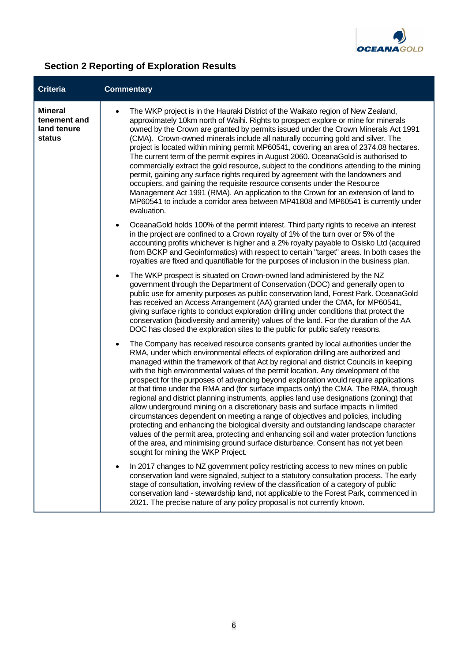

## **Section 2 Reporting of Exploration Results**

| <b>Criteria</b>                                         | <b>Commentary</b>                                                                                                                                                                                                                                                                                                                                                                                                                                                                                                                                                                                                                                                                                                                                                                                                                                                                                                                                                                                                                                                                                                                 |
|---------------------------------------------------------|-----------------------------------------------------------------------------------------------------------------------------------------------------------------------------------------------------------------------------------------------------------------------------------------------------------------------------------------------------------------------------------------------------------------------------------------------------------------------------------------------------------------------------------------------------------------------------------------------------------------------------------------------------------------------------------------------------------------------------------------------------------------------------------------------------------------------------------------------------------------------------------------------------------------------------------------------------------------------------------------------------------------------------------------------------------------------------------------------------------------------------------|
| <b>Mineral</b><br>tenement and<br>land tenure<br>status | The WKP project is in the Hauraki District of the Waikato region of New Zealand,<br>$\bullet$<br>approximately 10km north of Waihi. Rights to prospect explore or mine for minerals<br>owned by the Crown are granted by permits issued under the Crown Minerals Act 1991<br>(CMA). Crown-owned minerals include all naturally occurring gold and silver. The<br>project is located within mining permit MP60541, covering an area of 2374.08 hectares.<br>The current term of the permit expires in August 2060. OceanaGold is authorised to<br>commercially extract the gold resource, subject to the conditions attending to the mining<br>permit, gaining any surface rights required by agreement with the landowners and<br>occupiers, and gaining the requisite resource consents under the Resource<br>Management Act 1991 (RMA). An application to the Crown for an extension of land to<br>MP60541 to include a corridor area between MP41808 and MP60541 is currently under<br>evaluation.                                                                                                                             |
|                                                         | OceanaGold holds 100% of the permit interest. Third party rights to receive an interest<br>$\bullet$<br>in the project are confined to a Crown royalty of 1% of the turn over or 5% of the<br>accounting profits whichever is higher and a 2% royalty payable to Osisko Ltd (acquired<br>from BCKP and Geoinformatics) with respect to certain "target" areas. In both cases the<br>royalties are fixed and quantifiable for the purposes of inclusion in the business plan.                                                                                                                                                                                                                                                                                                                                                                                                                                                                                                                                                                                                                                                      |
|                                                         | The WKP prospect is situated on Crown-owned land administered by the NZ<br>$\bullet$<br>government through the Department of Conservation (DOC) and generally open to<br>public use for amenity purposes as public conservation land, Forest Park. OceanaGold<br>has received an Access Arrangement (AA) granted under the CMA, for MP60541,<br>giving surface rights to conduct exploration drilling under conditions that protect the<br>conservation (biodiversity and amenity) values of the land. For the duration of the AA<br>DOC has closed the exploration sites to the public for public safety reasons.                                                                                                                                                                                                                                                                                                                                                                                                                                                                                                                |
|                                                         | The Company has received resource consents granted by local authorities under the<br>$\bullet$<br>RMA, under which environmental effects of exploration drilling are authorized and<br>managed within the framework of that Act by regional and district Councils in keeping<br>with the high environmental values of the permit location. Any development of the<br>prospect for the purposes of advancing beyond exploration would require applications<br>at that time under the RMA and (for surface impacts only) the CMA. The RMA, through<br>regional and district planning instruments, applies land use designations (zoning) that<br>allow underground mining on a discretionary basis and surface impacts in limited<br>circumstances dependent on meeting a range of objectives and policies, including<br>protecting and enhancing the biological diversity and outstanding landscape character<br>values of the permit area, protecting and enhancing soil and water protection functions<br>of the area, and minimising ground surface disturbance. Consent has not yet been<br>sought for mining the WKP Project. |
|                                                         | In 2017 changes to NZ government policy restricting access to new mines on public<br>$\bullet$<br>conservation land were signaled, subject to a statutory consultation process. The early<br>stage of consultation, involving review of the classification of a category of public<br>conservation land - stewardship land, not applicable to the Forest Park, commenced in<br>2021. The precise nature of any policy proposal is not currently known.                                                                                                                                                                                                                                                                                                                                                                                                                                                                                                                                                                                                                                                                            |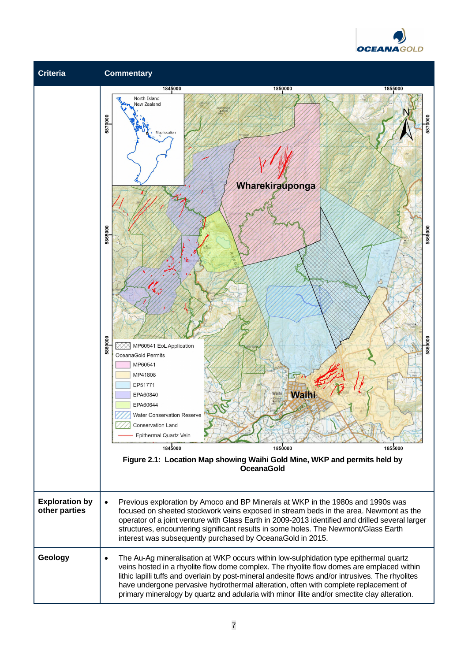

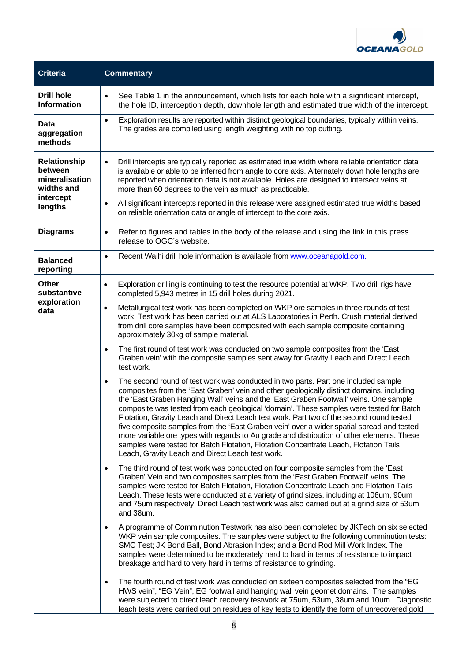

| <b>Criteria</b>                                                                        | <b>Commentary</b>                                                                                                                                                                                                                                                                                                                                                                                                                                                                                                                                                                                                                                                                                                                                                                                                                                                                                               |
|----------------------------------------------------------------------------------------|-----------------------------------------------------------------------------------------------------------------------------------------------------------------------------------------------------------------------------------------------------------------------------------------------------------------------------------------------------------------------------------------------------------------------------------------------------------------------------------------------------------------------------------------------------------------------------------------------------------------------------------------------------------------------------------------------------------------------------------------------------------------------------------------------------------------------------------------------------------------------------------------------------------------|
| <b>Drill hole</b><br><b>Information</b>                                                | See Table 1 in the announcement, which lists for each hole with a significant intercept,<br>$\bullet$<br>the hole ID, interception depth, downhole length and estimated true width of the intercept.                                                                                                                                                                                                                                                                                                                                                                                                                                                                                                                                                                                                                                                                                                            |
| <b>Data</b><br>aggregation<br>methods                                                  | Exploration results are reported within distinct geological boundaries, typically within veins.<br>$\bullet$<br>The grades are compiled using length weighting with no top cutting.                                                                                                                                                                                                                                                                                                                                                                                                                                                                                                                                                                                                                                                                                                                             |
| <b>Relationship</b><br>between<br>mineralisation<br>widths and<br>intercept<br>lengths | Drill intercepts are typically reported as estimated true width where reliable orientation data<br>$\bullet$<br>is available or able to be inferred from angle to core axis. Alternately down hole lengths are<br>reported when orientation data is not available. Holes are designed to intersect veins at<br>more than 60 degrees to the vein as much as practicable.<br>All significant intercepts reported in this release were assigned estimated true widths based<br>$\bullet$<br>on reliable orientation data or angle of intercept to the core axis.                                                                                                                                                                                                                                                                                                                                                   |
| <b>Diagrams</b>                                                                        | Refer to figures and tables in the body of the release and using the link in this press<br>$\bullet$<br>release to OGC's website.                                                                                                                                                                                                                                                                                                                                                                                                                                                                                                                                                                                                                                                                                                                                                                               |
| <b>Balanced</b><br>reporting                                                           | Recent Waihi drill hole information is available from www.oceanagold.com.<br>$\bullet$                                                                                                                                                                                                                                                                                                                                                                                                                                                                                                                                                                                                                                                                                                                                                                                                                          |
| Other<br>substantive<br>exploration<br>data                                            | Exploration drilling is continuing to test the resource potential at WKP. Two drill rigs have<br>$\bullet$<br>completed 5,943 metres in 15 drill holes during 2021.<br>Metallurgical test work has been completed on WKP ore samples in three rounds of test<br>$\bullet$<br>work. Test work has been carried out at ALS Laboratories in Perth. Crush material derived<br>from drill core samples have been composited with each sample composite containing<br>approximately 30kg of sample material.<br>The first round of test work was conducted on two sample composites from the 'East<br>$\bullet$<br>Graben vein' with the composite samples sent away for Gravity Leach and Direct Leach<br>test work.<br>The second round of test work was conducted in two parts. Part one included sample<br>$\bullet$<br>composites from the 'East Graben' vein and other geologically distinct domains, including |
|                                                                                        | the 'East Graben Hanging Wall' veins and the 'East Graben Footwall' veins. One sample<br>composite was tested from each geological 'domain'. These samples were tested for Batch<br>Flotation, Gravity Leach and Direct Leach test work. Part two of the second round tested<br>five composite samples from the 'East Graben vein' over a wider spatial spread and tested<br>more variable ore types with regards to Au grade and distribution of other elements. These<br>samples were tested for Batch Flotation, Flotation Concentrate Leach, Flotation Tails<br>Leach, Gravity Leach and Direct Leach test work.                                                                                                                                                                                                                                                                                            |
|                                                                                        | The third round of test work was conducted on four composite samples from the 'East<br>$\bullet$<br>Graben' Vein and two composites samples from the 'East Graben Footwall' veins. The<br>samples were tested for Batch Flotation, Flotation Concentrate Leach and Flotation Tails<br>Leach. These tests were conducted at a variety of grind sizes, including at 106um, 90um<br>and 75um respectively. Direct Leach test work was also carried out at a grind size of 53um<br>and 38um.                                                                                                                                                                                                                                                                                                                                                                                                                        |
|                                                                                        | A programme of Comminution Testwork has also been completed by JKTech on six selected<br>$\bullet$<br>WKP vein sample composites. The samples were subject to the following comminution tests:<br>SMC Test; JK Bond Ball, Bond Abrasion Index; and a Bond Rod Mill Work Index. The<br>samples were determined to be moderately hard to hard in terms of resistance to impact<br>breakage and hard to very hard in terms of resistance to grinding.                                                                                                                                                                                                                                                                                                                                                                                                                                                              |
|                                                                                        | The fourth round of test work was conducted on sixteen composites selected from the "EG<br>$\bullet$<br>HWS vein", "EG Vein", EG footwall and hanging wall vein geomet domains. The samples<br>were subjected to direct leach recovery testwork at 75um, 53um, 38um and 10um. Diagnostic<br>leach tests were carried out on residues of key tests to identify the form of unrecovered gold                                                                                                                                                                                                                                                                                                                                                                                                                                                                                                                      |